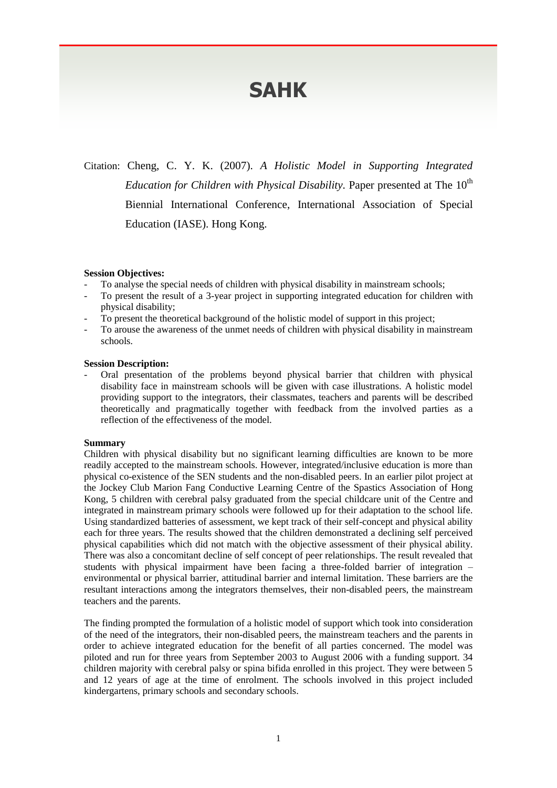# **SAHK**

Citation: Cheng, C. Y. K. (2007). *A Holistic Model in Supporting Integrated Education for Children with Physical Disability.* Paper presented at The 10<sup>th</sup> Biennial International Conference, International Association of Special Education (IASE). Hong Kong.

#### **Session Objectives:**

- To analyse the special needs of children with physical disability in mainstream schools;
- To present the result of a 3-year project in supporting integrated education for children with physical disability;
- To present the theoretical background of the holistic model of support in this project;
- To arouse the awareness of the unmet needs of children with physical disability in mainstream schools.

## **Session Description:**

- Oral presentation of the problems beyond physical barrier that children with physical disability face in mainstream schools will be given with case illustrations. A holistic model providing support to the integrators, their classmates, teachers and parents will be described theoretically and pragmatically together with feedback from the involved parties as a reflection of the effectiveness of the model.

#### **Summary**

Children with physical disability but no significant learning difficulties are known to be more readily accepted to the mainstream schools. However, integrated/inclusive education is more than physical co-existence of the SEN students and the non-disabled peers. In an earlier pilot project at the Jockey Club Marion Fang Conductive Learning Centre of the Spastics Association of Hong Kong, 5 children with cerebral palsy graduated from the special childcare unit of the Centre and integrated in mainstream primary schools were followed up for their adaptation to the school life. Using standardized batteries of assessment, we kept track of their self-concept and physical ability each for three years. The results showed that the children demonstrated a declining self perceived physical capabilities which did not match with the objective assessment of their physical ability. There was also a concomitant decline of self concept of peer relationships. The result revealed that students with physical impairment have been facing a three-folded barrier of integration – environmental or physical barrier, attitudinal barrier and internal limitation. These barriers are the resultant interactions among the integrators themselves, their non-disabled peers, the mainstream teachers and the parents.

The finding prompted the formulation of a holistic model of support which took into consideration of the need of the integrators, their non-disabled peers, the mainstream teachers and the parents in order to achieve integrated education for the benefit of all parties concerned. The model was piloted and run for three years from September 2003 to August 2006 with a funding support. 34 children majority with cerebral palsy or spina bifida enrolled in this project. They were between 5 and 12 years of age at the time of enrolment. The schools involved in this project included kindergartens, primary schools and secondary schools.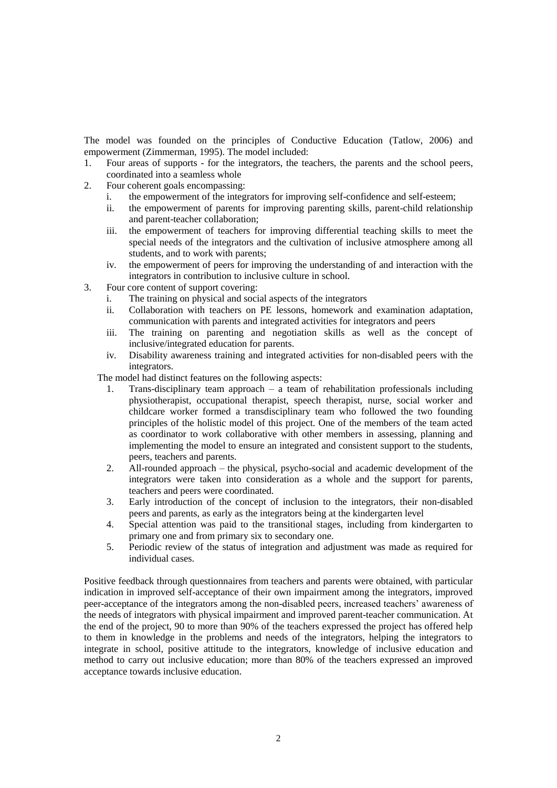The model was founded on the principles of Conductive Education (Tatlow, 2006) and empowerment (Zimmerman, 1995). The model included:

- 1. Four areas of supports for the integrators, the teachers, the parents and the school peers, coordinated into a seamless whole
- 2. Four coherent goals encompassing:
	- i. the empowerment of the integrators for improving self-confidence and self-esteem;
	- ii. the empowerment of parents for improving parenting skills, parent-child relationship and parent-teacher collaboration;
	- iii. the empowerment of teachers for improving differential teaching skills to meet the special needs of the integrators and the cultivation of inclusive atmosphere among all students, and to work with parents;
	- iv. the empowerment of peers for improving the understanding of and interaction with the integrators in contribution to inclusive culture in school.
- 3. Four core content of support covering:
	- i. The training on physical and social aspects of the integrators
	- ii. Collaboration with teachers on PE lessons, homework and examination adaptation, communication with parents and integrated activities for integrators and peers
	- iii. The training on parenting and negotiation skills as well as the concept of inclusive/integrated education for parents.
	- iv. Disability awareness training and integrated activities for non-disabled peers with the integrators.

The model had distinct features on the following aspects:

- 1. Trans-disciplinary team approach a team of rehabilitation professionals including physiotherapist, occupational therapist, speech therapist, nurse, social worker and childcare worker formed a transdisciplinary team who followed the two founding principles of the holistic model of this project. One of the members of the team acted as coordinator to work collaborative with other members in assessing, planning and implementing the model to ensure an integrated and consistent support to the students, peers, teachers and parents.
- 2. All-rounded approach the physical, psycho-social and academic development of the integrators were taken into consideration as a whole and the support for parents, teachers and peers were coordinated.
- 3. Early introduction of the concept of inclusion to the integrators, their non-disabled peers and parents, as early as the integrators being at the kindergarten level
- 4. Special attention was paid to the transitional stages, including from kindergarten to primary one and from primary six to secondary one.
- 5. Periodic review of the status of integration and adjustment was made as required for individual cases.

Positive feedback through questionnaires from teachers and parents were obtained, with particular indication in improved self-acceptance of their own impairment among the integrators, improved peer-acceptance of the integrators among the non-disabled peers, increased teachers' awareness of the needs of integrators with physical impairment and improved parent-teacher communication. At the end of the project, 90 to more than 90% of the teachers expressed the project has offered help to them in knowledge in the problems and needs of the integrators, helping the integrators to integrate in school, positive attitude to the integrators, knowledge of inclusive education and method to carry out inclusive education; more than 80% of the teachers expressed an improved acceptance towards inclusive education.